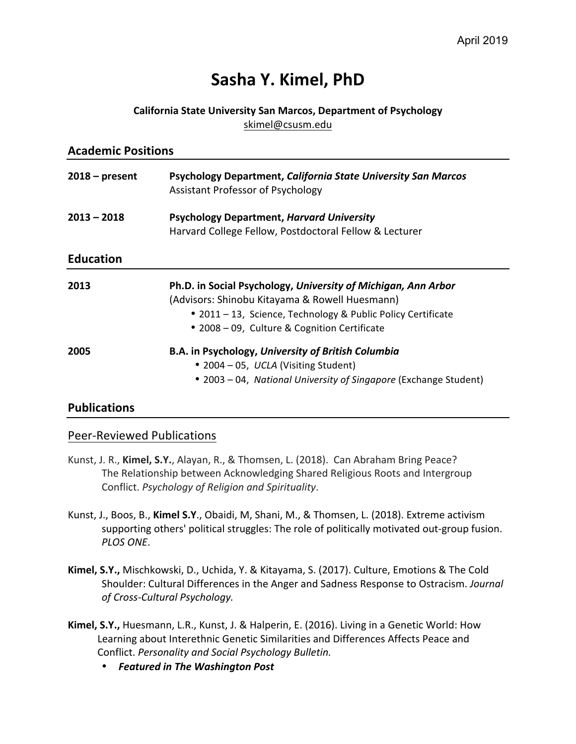# **Sasha Y. Kimel, PhD**

#### **California State University San Marcos, Department of Psychology** skimel@csusm.edu

| <b>Academic Positions</b> |                                                                                                                                                                                                                                 |  |  |  |
|---------------------------|---------------------------------------------------------------------------------------------------------------------------------------------------------------------------------------------------------------------------------|--|--|--|
| $2018 - present$          | <b>Psychology Department, California State University San Marcos</b><br>Assistant Professor of Psychology                                                                                                                       |  |  |  |
| $2013 - 2018$             | <b>Psychology Department, Harvard University</b><br>Harvard College Fellow, Postdoctoral Fellow & Lecturer                                                                                                                      |  |  |  |
| <b>Education</b>          |                                                                                                                                                                                                                                 |  |  |  |
| 2013                      | Ph.D. in Social Psychology, University of Michigan, Ann Arbor<br>(Advisors: Shinobu Kitayama & Rowell Huesmann)<br>• 2011 – 13, Science, Technology & Public Policy Certificate<br>• 2008 – 09, Culture & Cognition Certificate |  |  |  |
| 2005                      | B.A. in Psychology, University of British Columbia<br>• 2004 – 05, UCLA (Visiting Student)<br>• 2003 – 04, National University of Singapore (Exchange Student)                                                                  |  |  |  |

### **Publications**

### Peer-Reviewed Publications

- Kunst, J. R., Kimel, S.Y., Alayan, R., & Thomsen, L. (2018). Can Abraham Bring Peace? The Relationship between Acknowledging Shared Religious Roots and Intergroup Conflict. *Psychology of Religion and Spirituality*.
- Kunst, J., Boos, B., Kimel S.Y., Obaidi, M, Shani, M., & Thomsen, L. (2018). Extreme activism supporting others' political struggles: The role of politically motivated out-group fusion. *PLOS ONE*.
- Kimel, S.Y., Mischkowski, D., Uchida, Y. & Kitayama, S. (2017). Culture, Emotions & The Cold Shoulder: Cultural Differences in the Anger and Sadness Response to Ostracism. Journal *of Cross-Cultural Psychology.*
- Kimel, S.Y., Huesmann, L.R., Kunst, J. & Halperin, E. (2016). Living in a Genetic World: How Learning about Interethnic Genetic Similarities and Differences Affects Peace and Conflict. *Personality and Social Psychology Bulletin.*
	- *Featured in The Washington Post*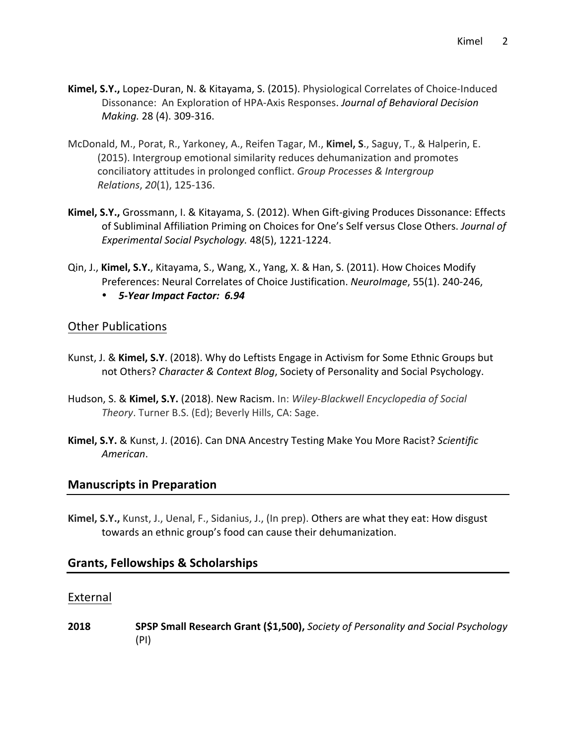- **Kimel, S.Y.,** Lopez-Duran, N. & Kitayama, S. (2015). Physiological Correlates of Choice-Induced Dissonance: An Exploration of HPA-Axis Responses. Journal of Behavioral Decision *Making.* 28 (4). 309-316.
- McDonald, M., Porat, R., Yarkoney, A., Reifen Tagar, M., Kimel, S., Saguy, T., & Halperin, E. (2015). Intergroup emotional similarity reduces dehumanization and promotes conciliatory attitudes in prolonged conflict. *Group Processes & Intergroup Relations*, *20*(1), 125-136.
- **Kimel, S.Y.,** Grossmann, I. & Kitayama, S. (2012). When Gift-giving Produces Dissonance: Effects of Subliminal Affiliation Priming on Choices for One's Self versus Close Others. *Journal of Experimental Social Psychology.* 48(5), 1221-1224.
- Qin, J., Kimel, S.Y., Kitayama, S., Wang, X., Yang, X. & Han, S. (2011). How Choices Modify Preferences: Neural Correlates of Choice Justification. *NeuroImage*, 55(1). 240-246,
	- *5-Year Impact Factor: 6.94*

### **Other Publications**

- Kunst, J. & Kimel, S.Y. (2018). Why do Leftists Engage in Activism for Some Ethnic Groups but not Others? *Character & Context Blog*, Society of Personality and Social Psychology.
- Hudson, S. & Kimel, S.Y. (2018). New Racism. In: *Wiley-Blackwell Encyclopedia of Social* Theory. Turner B.S. (Ed); Beverly Hills, CA: Sage.
- **Kimel, S.Y.** & Kunst, J. (2016). Can DNA Ancestry Testing Make You More Racist? Scientific *American*.

### **Manuscripts in Preparation**

**Kimel, S.Y.,** Kunst, J., Uenal, F., Sidanius, J., (In prep). Others are what they eat: How disgust towards an ethnic group's food can cause their dehumanization.

### **Grants, Fellowships & Scholarships**

### External

**2018 SPSP Small Research Grant (\$1,500),** *Society of Personality and Social Psychology* (PI)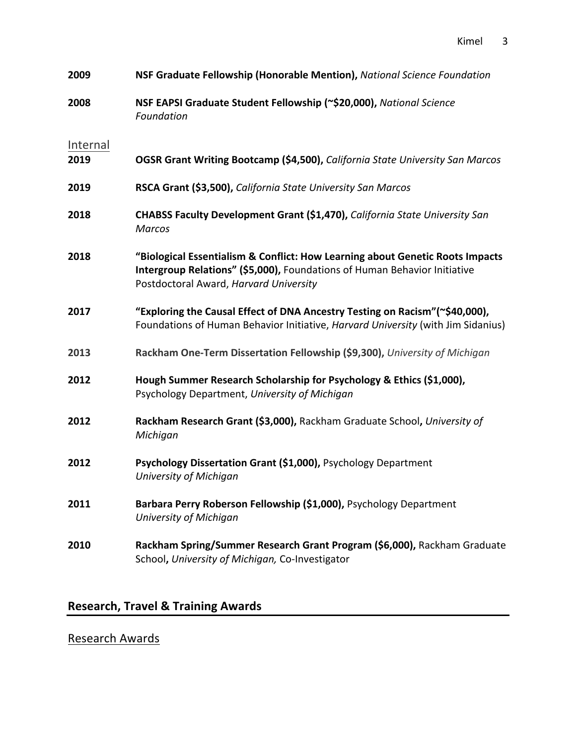Kimel 3

| 2009     | NSF Graduate Fellowship (Honorable Mention), National Science Foundation                                                                                                                             |
|----------|------------------------------------------------------------------------------------------------------------------------------------------------------------------------------------------------------|
| 2008     | NSF EAPSI Graduate Student Fellowship (~\$20,000), National Science<br>Foundation                                                                                                                    |
| Internal |                                                                                                                                                                                                      |
| 2019     | OGSR Grant Writing Bootcamp (\$4,500), California State University San Marcos                                                                                                                        |
| 2019     | RSCA Grant (\$3,500), California State University San Marcos                                                                                                                                         |
| 2018     | CHABSS Faculty Development Grant (\$1,470), California State University San<br><b>Marcos</b>                                                                                                         |
| 2018     | "Biological Essentialism & Conflict: How Learning about Genetic Roots Impacts<br>Intergroup Relations" (\$5,000), Foundations of Human Behavior Initiative<br>Postdoctoral Award, Harvard University |
| 2017     | "Exploring the Causal Effect of DNA Ancestry Testing on Racism"(~\$40,000),<br>Foundations of Human Behavior Initiative, Harvard University (with Jim Sidanius)                                      |
| 2013     | Rackham One-Term Dissertation Fellowship (\$9,300), University of Michigan                                                                                                                           |
| 2012     | Hough Summer Research Scholarship for Psychology & Ethics (\$1,000),<br>Psychology Department, University of Michigan                                                                                |
| 2012     | Rackham Research Grant (\$3,000), Rackham Graduate School, University of<br>Michigan                                                                                                                 |
| 2012     | Psychology Dissertation Grant (\$1,000), Psychology Department<br>University of Michigan                                                                                                             |
| 2011     | Barbara Perry Roberson Fellowship (\$1,000), Psychology Department<br>University of Michigan                                                                                                         |
| 2010     | Rackham Spring/Summer Research Grant Program (\$6,000), Rackham Graduate<br>School, University of Michigan, Co-Investigator                                                                          |

# **Research, Travel & Training Awards**

# **Research Awards**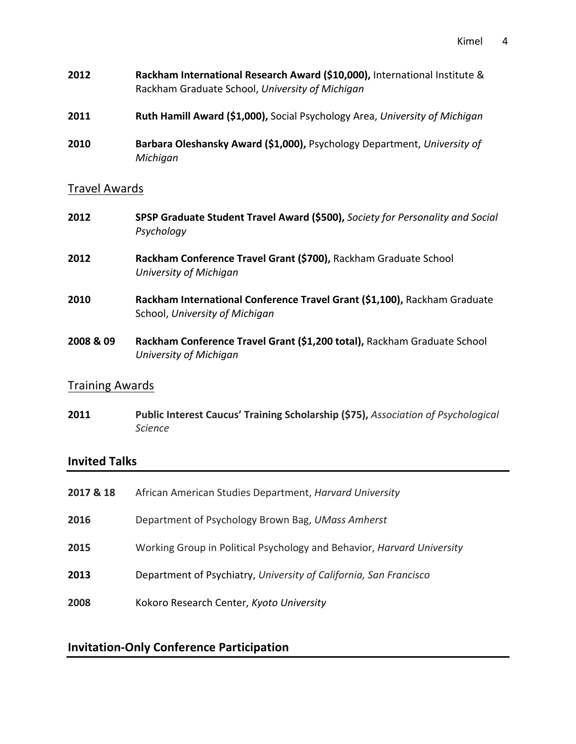- Kimel 4
- **2012 Rackham International Research Award (\$10,000),** International Institute & Rackham Graduate School, *University of Michigan*
- **2011 Ruth Hamill Award (\$1,000),** Social Psychology Area, *University of Michigan*
- **2010 Barbara Oleshansky Award (\$1,000),** Psychology Department, University of *Michigan*

### Travel Awards

- **2012 SPSP Graduate Student Travel Award (\$500),** *Society for Personality and Social* **Psychology**
- **2012 Rackham Conference Travel Grant (\$700),** Rackham Graduate School *University of Michigan*
- **2010 Rackham International Conference Travel Grant (\$1,100),** Rackham Graduate School, University of Michigan
- **2008 & 09** Rackham Conference Travel Grant (\$1,200 total), Rackham Graduate School *University of Michigan*

### Training Awards

**2011 Public Interest Caucus' Training Scholarship (\$75),** *Association of Psychological Science*

### **Invited Talks**

| 2017 & 18 | African American Studies Department, Harvard University                |
|-----------|------------------------------------------------------------------------|
| 2016      | Department of Psychology Brown Bag, UMass Amherst                      |
| 2015      | Working Group in Political Psychology and Behavior, Harvard University |
| 2013      | Department of Psychiatry, University of California, San Francisco      |
| 2008      | Kokoro Research Center, Kyoto University                               |

### **Invitation-Only Conference Participation**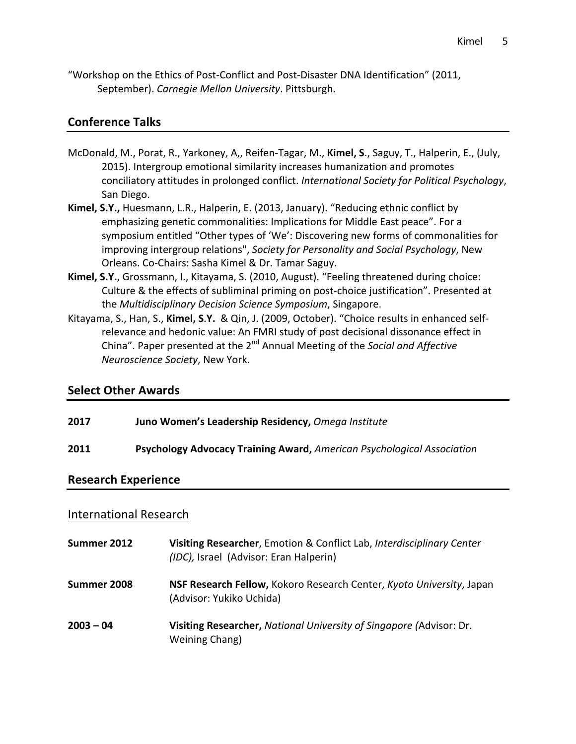"Workshop on the Ethics of Post-Conflict and Post-Disaster DNA Identification" (2011, September). *Carnegie Mellon University*. Pittsburgh.

### **Conference Talks**

- McDonald, M., Porat, R., Yarkoney, A., Reifen-Tagar, M., Kimel, S., Saguy, T., Halperin, E., (July, 2015). Intergroup emotional similarity increases humanization and promotes conciliatory attitudes in prolonged conflict. International Society for Political Psychology, San Diego.
- Kimel, S.Y., Huesmann, L.R., Halperin, E. (2013, January). "Reducing ethnic conflict by emphasizing genetic commonalities: Implications for Middle East peace". For a symposium entitled "Other types of 'We': Discovering new forms of commonalities for improving intergroup relations", Society for Personality and Social Psychology, New Orleans. Co-Chairs: Sasha Kimel & Dr. Tamar Saguy.
- Kimel, S.Y., Grossmann, I., Kitayama, S. (2010, August). "Feeling threatened during choice: Culture & the effects of subliminal priming on post-choice justification". Presented at the *Multidisciplinary Decision Science Symposium*, Singapore.
- Kitayama, S., Han, S., Kimel, S.Y. & Qin, J. (2009, October). "Choice results in enhanced selfrelevance and hedonic value: An FMRI study of post decisional dissonance effect in China". Paper presented at the 2<sup>nd</sup> Annual Meeting of the *Social and Affective Neuroscience Society*, New York.

### **Select Other Awards**

| 2017                       | Juno Women's Leadership Residency, Omega Institute                            |  |
|----------------------------|-------------------------------------------------------------------------------|--|
| 2011                       | <b>Psychology Advocacy Training Award, American Psychological Association</b> |  |
| <b>Research Experience</b> |                                                                               |  |

### International Research

| Summer 2012 | Visiting Researcher, Emotion & Conflict Lab, Interdisciplinary Center<br>(IDC), Israel (Advisor: Eran Halperin) |
|-------------|-----------------------------------------------------------------------------------------------------------------|
| Summer 2008 | NSF Research Fellow, Kokoro Research Center, Kyoto University, Japan<br>(Advisor: Yukiko Uchida)                |
| $2003 - 04$ | Visiting Researcher, National University of Singapore (Advisor: Dr.<br>Weining Chang)                           |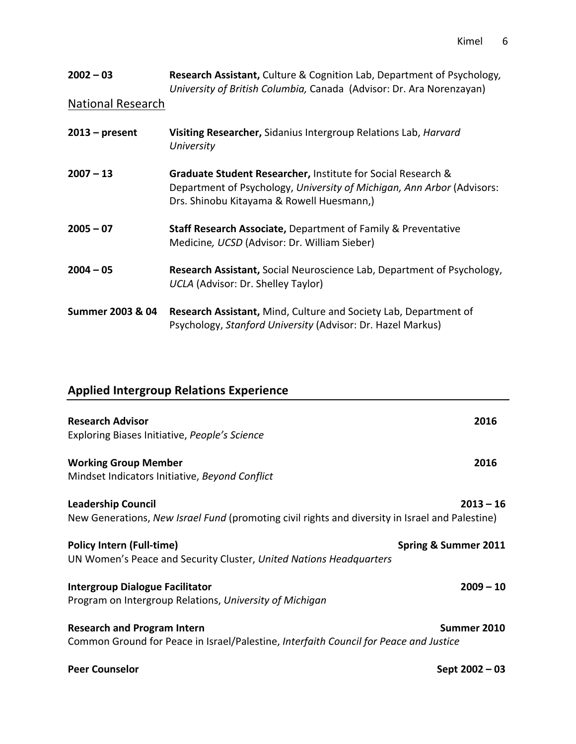| $2002 - 03$<br><b>National Research</b> | <b>Research Assistant, Culture &amp; Cognition Lab, Department of Psychology,</b><br>University of British Columbia, Canada (Advisor: Dr. Ara Norenzayan)                           |
|-----------------------------------------|-------------------------------------------------------------------------------------------------------------------------------------------------------------------------------------|
|                                         |                                                                                                                                                                                     |
| $2013$ – present                        | Visiting Researcher, Sidanius Intergroup Relations Lab, Harvard<br>University                                                                                                       |
| $2007 - 13$                             | Graduate Student Researcher, Institute for Social Research &<br>Department of Psychology, University of Michigan, Ann Arbor (Advisors:<br>Drs. Shinobu Kitayama & Rowell Huesmann,) |
| $2005 - 07$                             | Staff Research Associate, Department of Family & Preventative<br>Medicine, UCSD (Advisor: Dr. William Sieber)                                                                       |
| $2004 - 05$                             | Research Assistant, Social Neuroscience Lab, Department of Psychology,<br>UCLA (Advisor: Dr. Shelley Taylor)                                                                        |
| Summer 2003 & 04                        | <b>Research Assistant, Mind, Culture and Society Lab, Department of</b><br>Psychology, Stanford University (Advisor: Dr. Hazel Markus)                                              |

# **Applied Intergroup Relations Experience**

| <b>Research Advisor</b><br>Exploring Biases Initiative, People's Science                                                     | 2016                 |
|------------------------------------------------------------------------------------------------------------------------------|----------------------|
| <b>Working Group Member</b><br>Mindset Indicators Initiative, Beyond Conflict                                                | 2016                 |
| <b>Leadership Council</b><br>New Generations, New Israel Fund (promoting civil rights and diversity in Israel and Palestine) | $2013 - 16$          |
| <b>Policy Intern (Full-time)</b><br>UN Women's Peace and Security Cluster, United Nations Headquarters                       | Spring & Summer 2011 |
| <b>Intergroup Dialogue Facilitator</b><br>Program on Intergroup Relations, University of Michigan                            | $2009 - 10$          |
| <b>Research and Program Intern</b><br>Common Ground for Peace in Israel/Palestine, Interfaith Council for Peace and Justice  | Summer 2010          |
| <b>Peer Counselor</b>                                                                                                        | Sept 2002 - 03       |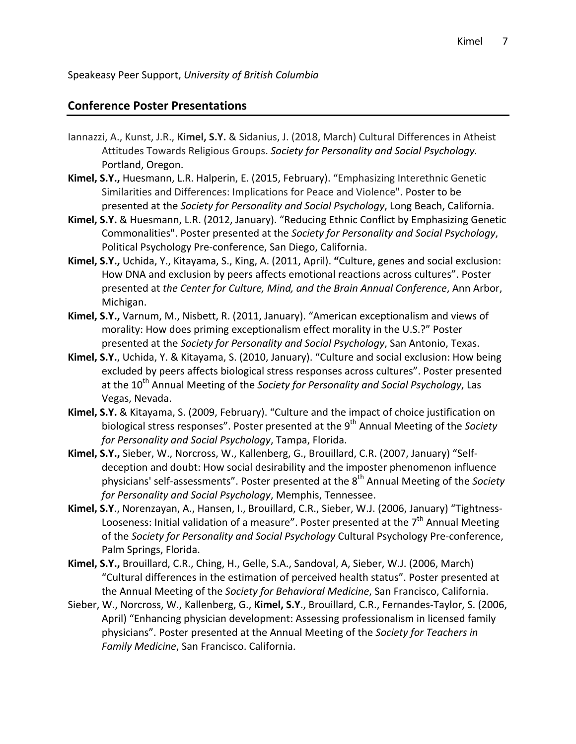Speakeasy Peer Support, *University of British Columbia*

### **Conference Poster Presentations**

- Iannazzi, A., Kunst, J.R., Kimel, S.Y. & Sidanius, J. (2018, March) Cultural Differences in Atheist Attitudes Towards Religious Groups. Society for Personality and Social Psychology. Portland, Oregon.
- **Kimel, S.Y., Huesmann, L.R. Halperin, E. (2015, February).** "Emphasizing Interethnic Genetic Similarities and Differences: Implications for Peace and Violence". Poster to be presented at the *Society for Personality and Social Psychology*, Long Beach, California.
- **Kimel, S.Y.** & Huesmann, L.R. (2012, January). "Reducing Ethnic Conflict by Emphasizing Genetic Commonalities". Poster presented at the *Society for Personality and Social Psychology*, Political Psychology Pre-conference, San Diego, California.
- Kimel, S.Y., Uchida, Y., Kitayama, S., King, A. (2011, April). "Culture, genes and social exclusion: How DNA and exclusion by peers affects emotional reactions across cultures". Poster presented at the Center for Culture, Mind, and the Brain Annual Conference, Ann Arbor, Michigan.
- Kimel, S.Y., Varnum, M., Nisbett, R. (2011, January). "American exceptionalism and views of morality: How does priming exceptionalism effect morality in the U.S.?" Poster presented at the *Society for Personality and Social Psychology*, San Antonio, Texas.
- Kimel, S.Y., Uchida, Y. & Kitayama, S. (2010, January). "Culture and social exclusion: How being excluded by peers affects biological stress responses across cultures". Poster presented at the 10<sup>th</sup> Annual Meeting of the *Society for Personality and Social Psychology*, Las Vegas, Nevada.
- **Kimel, S.Y.** & Kitayama, S. (2009, February). "Culture and the impact of choice justification on biological stress responses". Poster presented at the 9<sup>th</sup> Annual Meeting of the *Society for Personality and Social Psychology*, Tampa, Florida.
- **Kimel, S.Y.,** Sieber, W., Norcross, W., Kallenberg, G., Brouillard, C.R. (2007, January) "Selfdeception and doubt: How social desirability and the imposter phenomenon influence physicians' self-assessments". Poster presented at the 8<sup>th</sup> Annual Meeting of the *Society for Personality and Social Psychology*, Memphis, Tennessee.
- Kimel, S.Y., Norenzayan, A., Hansen, I., Brouillard, C.R., Sieber, W.J. (2006, January) "Tightness-Looseness: Initial validation of a measure". Poster presented at the  $7<sup>th</sup>$  Annual Meeting of the Society for Personality and Social Psychology Cultural Psychology Pre-conference, Palm Springs, Florida.
- Kimel, S.Y., Brouillard, C.R., Ching, H., Gelle, S.A., Sandoval, A, Sieber, W.J. (2006, March) "Cultural differences in the estimation of perceived health status". Poster presented at the Annual Meeting of the *Society for Behavioral Medicine*, San Francisco, California.
- Sieber, W., Norcross, W., Kallenberg, G., Kimel, S.Y., Brouillard, C.R., Fernandes-Taylor, S. (2006, April) "Enhancing physician development: Assessing professionalism in licensed family physicians". Poster presented at the Annual Meeting of the Society for Teachers in Family Medicine, San Francisco. California.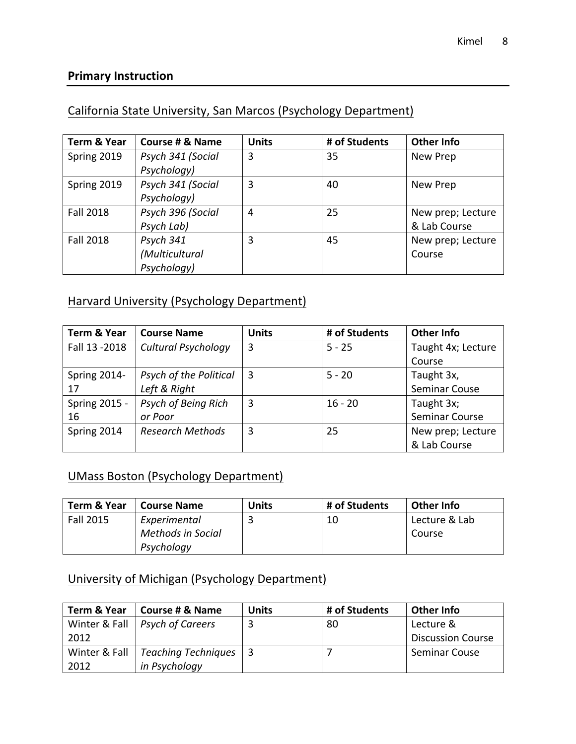### **Primary Instruction**

### California State University, San Marcos (Psychology Department)

| <b>Term &amp; Year</b> | Course # & Name   | <b>Units</b> | # of Students | <b>Other Info</b> |
|------------------------|-------------------|--------------|---------------|-------------------|
| Spring 2019            | Psych 341 (Social | 3            | 35            | New Prep          |
|                        | Psychology)       |              |               |                   |
| Spring 2019            | Psych 341 (Social | 3            | 40            | New Prep          |
|                        | Psychology)       |              |               |                   |
| <b>Fall 2018</b>       | Psych 396 (Social | 4            | 25            | New prep; Lecture |
|                        | Psych Lab)        |              |               | & Lab Course      |
| <b>Fall 2018</b>       | Psych 341         | 3            | 45            | New prep; Lecture |
|                        | (Multicultural    |              |               | Course            |
|                        | Psychology)       |              |               |                   |

### Harvard University (Psychology Department)

| Term & Year    | <b>Course Name</b>      | <b>Units</b> | # of Students | <b>Other Info</b>  |
|----------------|-------------------------|--------------|---------------|--------------------|
| Fall 13 - 2018 | Cultural Psychology     | 3            | $5 - 25$      | Taught 4x; Lecture |
|                |                         |              |               | Course             |
| Spring 2014-   | Psych of the Political  | 3            | $5 - 20$      | Taught 3x,         |
| 17             | Left & Right            |              |               | Seminar Couse      |
| Spring 2015 -  | Psych of Being Rich     | 3            | $16 - 20$     | Taught 3x;         |
| 16             | or Poor                 |              |               | Seminar Course     |
| Spring 2014    | <b>Research Methods</b> | 3            | 25            | New prep; Lecture  |
|                |                         |              |               | & Lab Course       |

### UMass Boston (Psychology Department)

| Term & Year      | <b>Course Name</b>       | <b>Units</b> | # of Students | <b>Other Info</b> |
|------------------|--------------------------|--------------|---------------|-------------------|
| <b>Fall 2015</b> | Experimental             |              | 10            | Lecture & Lab     |
|                  | <b>Methods in Social</b> |              |               | Course            |
|                  | Psychology               |              |               |                   |

### University of Michigan (Psychology Department)

| Term & Year | Course # & Name                         | <b>Units</b> | # of Students | <b>Other Info</b>        |
|-------------|-----------------------------------------|--------------|---------------|--------------------------|
|             | Winter & Fall   Psych of Careers        |              | 80            | Lecture &                |
| 2012        |                                         |              |               | <b>Discussion Course</b> |
|             | Winter & Fall   Teaching Techniques   3 |              |               | <b>Seminar Couse</b>     |
| 2012        | in Psychology                           |              |               |                          |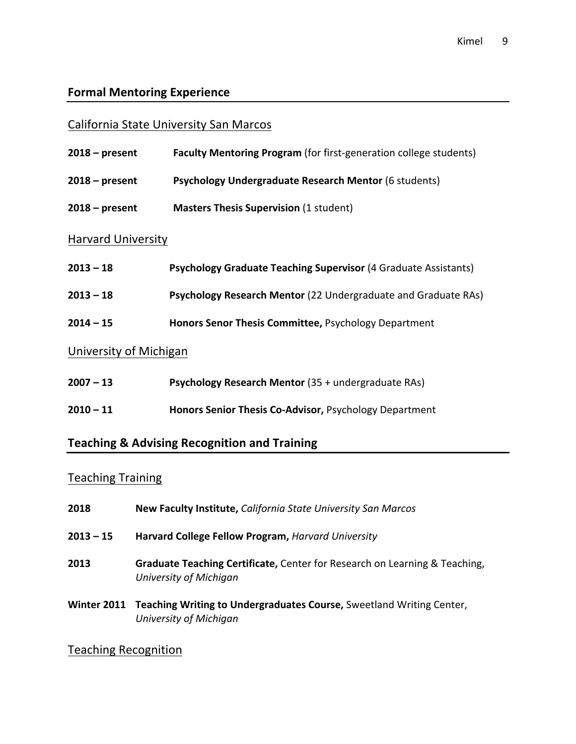# **Formal Mentoring Experience**

### California State University San Marcos

| $2018 - present$          | <b>Faculty Mentoring Program</b> (for first-generation college students) |
|---------------------------|--------------------------------------------------------------------------|
| $2018 - present$          | <b>Psychology Undergraduate Research Mentor (6 students)</b>             |
| $2018$ – present          | <b>Masters Thesis Supervision (1 student)</b>                            |
| <b>Harvard University</b> |                                                                          |
| $2013 - 18$               | Psychology Graduate Teaching Supervisor (4 Graduate Assistants)          |
| $2013 - 18$               | Psychology Research Mentor (22 Undergraduate and Graduate RAs)           |
| $2014 - 15$               | Honors Senor Thesis Committee, Psychology Department                     |
| University of Michigan    |                                                                          |
| $2007 - 13$               | Psychology Research Mentor (35 + undergraduate RAs)                      |
| $2010 - 11$               | Honors Senior Thesis Co-Advisor, Psychology Department                   |

### **Teaching & Advising Recognition and Training**

# **Teaching Training**

| 2018      | New Faculty Institute, California State University San Marcos                                              |
|-----------|------------------------------------------------------------------------------------------------------------|
| 2013 – 15 | Harvard College Fellow Program, Harvard University                                                         |
| 2013      | Graduate Teaching Certificate, Center for Research on Learning & Teaching,<br>University of Michigan       |
|           | Winter 2011 Teaching Writing to Undergraduates Course, Sweetland Writing Center,<br>University of Michigan |

### **Teaching Recognition**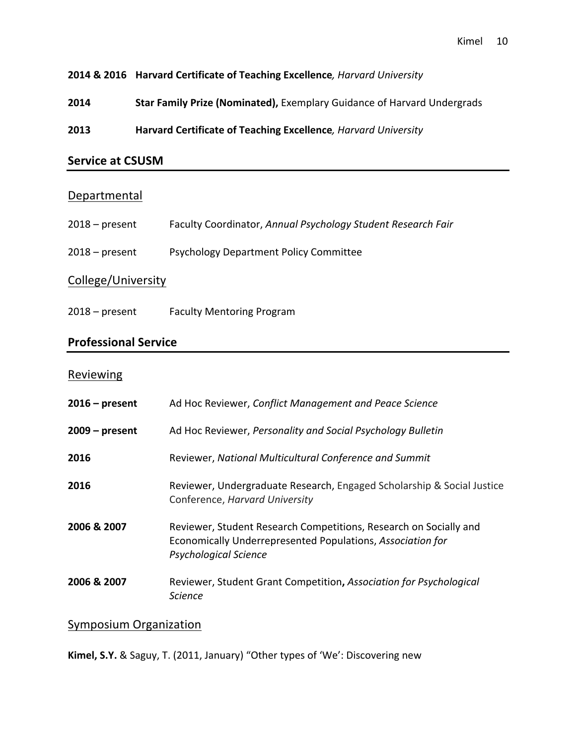**2014 & 2016 Harvard Certificate of Teaching Excellence***, Harvard University*

**2014 Star Family Prize (Nominated),** Exemplary Guidance of Harvard Undergrads

**2013 Harvard Certificate of Teaching Excellence**, *Harvard University* 

### **Service at CSUSM**

#### Departmental

| $2018 - present$   | Faculty Coordinator, Annual Psychology Student Research Fair |  |  |  |
|--------------------|--------------------------------------------------------------|--|--|--|
| $2018 - present$   | <b>Psychology Department Policy Committee</b>                |  |  |  |
| College/University |                                                              |  |  |  |

2018 – present Faculty Mentoring Program

### **Professional Service**

#### Reviewing

| $2016$ – present | Ad Hoc Reviewer, Conflict Management and Peace Science                                                                                                          |
|------------------|-----------------------------------------------------------------------------------------------------------------------------------------------------------------|
| $2009 - present$ | Ad Hoc Reviewer, Personality and Social Psychology Bulletin                                                                                                     |
| 2016             | Reviewer, National Multicultural Conference and Summit                                                                                                          |
| 2016             | Reviewer, Undergraduate Research, Engaged Scholarship & Social Justice<br>Conference, Harvard University                                                        |
| 2006 & 2007      | Reviewer, Student Research Competitions, Research on Socially and<br>Economically Underrepresented Populations, Association for<br><b>Psychological Science</b> |
| 2006 & 2007      | Reviewer, Student Grant Competition, Association for Psychological<br>Science                                                                                   |

### Symposium Organization

**Kimel, S.Y.** & Saguy, T. (2011, January) "Other types of 'We': Discovering new